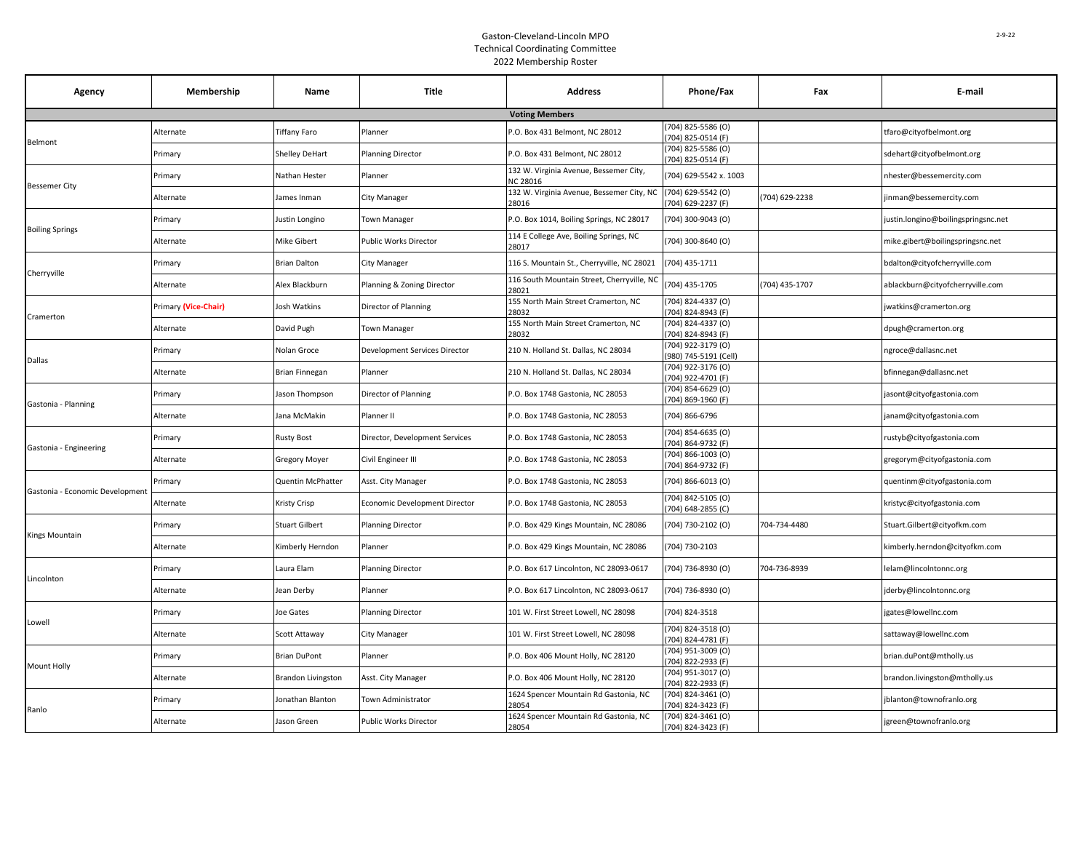## Gaston-Cleveland-Lincoln MPO Technical Coordinating Committee 2022 Membership Roster

| Agency                          | Membership           | Name                      | <b>Title</b>                   | <b>Address</b>                                      | Phone/Fax                                  | Fax            | E-mail                             |
|---------------------------------|----------------------|---------------------------|--------------------------------|-----------------------------------------------------|--------------------------------------------|----------------|------------------------------------|
|                                 |                      |                           |                                | <b>Voting Members</b>                               |                                            |                |                                    |
| Belmont                         | <b>Alternate</b>     | Tiffany Faro              | Planner                        | P.O. Box 431 Belmont, NC 28012                      | (704) 825-5586 (O)<br>704) 825-0514 (F)    |                | tfaro@cityofbelmont.org            |
|                                 | Primary              | Shelley DeHart            | <b>Planning Director</b>       | P.O. Box 431 Belmont, NC 28012                      | (704) 825-5586 (O)<br>704) 825-0514 (F)    |                | sdehart@cityofbelmont.org          |
| <b>Bessemer City</b>            | Primary              | Nathan Hester             | Planner                        | 132 W. Virginia Avenue, Bessemer City,<br>NC 28016  | (704) 629-5542 x. 1003                     |                | nhester@bessemercity.com           |
|                                 | Alternate            | James Inman               | City Manager                   | 132 W. Virginia Avenue, Bessemer City, NC<br>28016  | (704) 629-5542 (O)<br>(704) 629-2237 (F)   | (704) 629-2238 | inman@bessemercity.com             |
| <b>Boiling Springs</b>          | Primary              | Justin Longino            | <b>Town Manager</b>            | P.O. Box 1014, Boiling Springs, NC 28017            | (704) 300-9043 (O)                         |                | ustin.longino@boilingspringsnc.net |
|                                 | Alternate            | Mike Gibert               | Public Works Director          | 114 E College Ave, Boiling Springs, NC<br>28017     | (704) 300-8640 (O)                         |                | mike.gibert@boilingspringsnc.net   |
| Cherryville                     | Primary              | <b>Brian Dalton</b>       | City Manager                   | 116 S. Mountain St., Cherryville, NC 28021          | (704) 435-1711                             |                | bdalton@cityofcherryville.com      |
|                                 | Alternate            | Alex Blackburn            | Planning & Zoning Director     | 116 South Mountain Street, Cherryville, NC<br>28021 | (704) 435-1705                             | (704) 435-1707 | ablackburn@cityofcherryville.com   |
| Cramerton                       | Primary (Vice-Chair) | Josh Watkins              | Director of Planning           | 155 North Main Street Cramerton, NC<br>28032        | (704) 824-4337 (O)<br>704) 824-8943 (F)    |                | watkins@cramerton.org              |
|                                 | Alternate            | David Pugh                | <b>Town Manager</b>            | 155 North Main Street Cramerton, NC<br>28032        | (704) 824-4337 (O)<br>704) 824-8943 (F)    |                | dpugh@cramerton.org                |
| Dallas                          | Primary              | Nolan Groce               | Development Services Director  | 210 N. Holland St. Dallas, NC 28034                 | (704) 922-3179 (O)<br>980) 745-5191 (Cell) |                | ngroce@dallasnc.net                |
|                                 | Alternate            | <b>Brian Finnegan</b>     | Planner                        | 210 N. Holland St. Dallas, NC 28034                 | 704) 922-3176 (O)<br>704) 922-4701 (F)     |                | bfinnegan@dallasnc.net             |
| Gastonia - Planning             | Primary              | Jason Thompson            | Director of Planning           | P.O. Box 1748 Gastonia, NC 28053                    | (704) 854-6629 (O)<br>704) 869-1960 (F)    |                | jasont@cityofgastonia.com          |
|                                 | Alternate            | Jana McMakin              | Planner II                     | P.O. Box 1748 Gastonia, NC 28053                    | (704) 866-6796                             |                | janam@cityofgastonia.com           |
| Gastonia - Engineering          | Primary              | <b>Rusty Bost</b>         | Director, Development Services | P.O. Box 1748 Gastonia, NC 28053                    | (704) 854-6635 (O)<br>704) 864-9732 (F)    |                | ustyb@cityofgastonia.com           |
|                                 | Alternate            | Gregory Moyer             | Civil Engineer III             | P.O. Box 1748 Gastonia, NC 28053                    | (704) 866-1003 (O)<br>(704) 864-9732 (F)   |                | gregorym@cityofgastonia.com        |
| Gastonia - Economic Development | Primary              | Quentin McPhatter         | Asst. City Manager             | P.O. Box 1748 Gastonia, NC 28053                    | (704) 866-6013 (O)                         |                | quentinm@cityofgastonia.com        |
|                                 | Alternate            | Kristy Crisp              | Economic Development Director  | P.O. Box 1748 Gastonia, NC 28053                    | (704) 842-5105 (O)<br>(704) 648-2855 (C)   |                | kristyc@cityofgastonia.com         |
| <b>Kings Mountain</b>           | Primary              | Stuart Gilbert            | <b>Planning Director</b>       | P.O. Box 429 Kings Mountain, NC 28086               | (704) 730-2102 (O)                         | 704-734-4480   | Stuart.Gilbert@cityofkm.com        |
|                                 | Alternate            | Kimberly Herndon          | Planner                        | P.O. Box 429 Kings Mountain, NC 28086               | (704) 730-2103                             |                | kimberly.herndon@cityofkm.com      |
| Lincolnton                      | Primary              | Laura Elam                | <b>Planning Director</b>       | P.O. Box 617 Lincolnton, NC 28093-0617              | (704) 736-8930 (O)                         | 704-736-8939   | elam@lincolntonnc.org              |
|                                 | Alternate            | Jean Derby                | Planner                        | P.O. Box 617 Lincolnton, NC 28093-0617              | (704) 736-8930 (O)                         |                | derby@lincoIntonnc.org             |
| Lowell                          | Primary              | Joe Gates                 | <b>Planning Director</b>       | 101 W. First Street Lowell. NC 28098                | (704) 824-3518                             |                | jgates@lowellnc.com                |
|                                 | Alternate            | Scott Attaway             | City Manager                   | 101 W. First Street Lowell, NC 28098                | 704) 824-3518 (O)<br>704) 824-4781 (F)     |                | sattaway@lowellnc.com              |
| <b>Mount Holly</b>              | Primary              | <b>Brian DuPont</b>       | Planner                        | P.O. Box 406 Mount Holly, NC 28120                  | 704) 951-3009 (O)<br>704) 822-2933 (F)     |                | brian.duPont@mtholly.us            |
|                                 | Alternate            | <b>Brandon Livingston</b> | Asst. City Manager             | P.O. Box 406 Mount Holly, NC 28120                  | (704) 951-3017 (O)<br>704) 822-2933 (F)    |                | brandon.livingston@mtholly.us      |
|                                 | Primary              | Jonathan Blanton          | Town Administrator             | 1624 Spencer Mountain Rd Gastonia, NC<br>28054      | (704) 824-3461 (O)<br>704) 824-3423 (F)    |                | jblanton@townofranlo.org           |
| Ranlo                           | Alternate            | Jason Green               | <b>Public Works Director</b>   | 1624 Spencer Mountain Rd Gastonia, NC<br>28054      | 704) 824-3461 (O)<br>(704) 824-3423 (F)    |                | igreen@townofranlo.org             |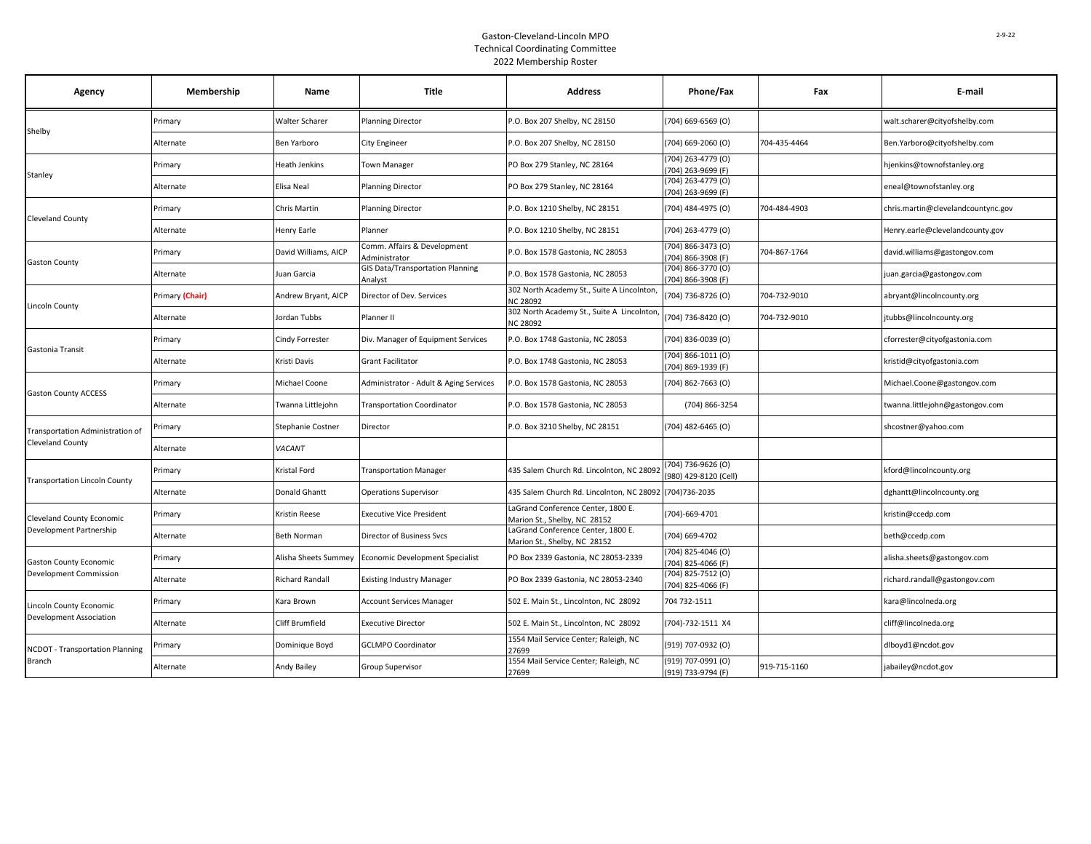## Gaston-Cleveland-Lincoln MPO Technical Coordinating Committee 2022 Membership Roster

| Agency                                                      | Membership      | Name                   | <b>Title</b>                                       | <b>Address</b>                                                     | Phone/Fax                                    | Fax          | E-mail                             |
|-------------------------------------------------------------|-----------------|------------------------|----------------------------------------------------|--------------------------------------------------------------------|----------------------------------------------|--------------|------------------------------------|
| Shelby                                                      | Primary         | Walter Scharer         | <b>Planning Director</b>                           | P.O. Box 207 Shelby, NC 28150                                      | $(704)$ 669-6569 (O)                         |              | walt.scharer@cityofshelby.com      |
|                                                             | Alternate       | Ben Yarboro            | City Engineer                                      | P.O. Box 207 Shelby, NC 28150                                      | $(704)$ 669-2060 $(0)$                       | 704-435-4464 | Ben.Yarboro@cityofshelby.com       |
| Stanley                                                     | Primary         | Heath Jenkins          | <b>Town Manager</b>                                | PO Box 279 Stanley, NC 28164                                       | (704) 263-4779 (O)<br>704) 263-9699 (F)      |              | hjenkins@townofstanley.org         |
|                                                             | Alternate       | Elisa Neal             | <b>Planning Director</b>                           | PO Box 279 Stanley, NC 28164                                       | (704) 263-4779 (O)<br>704) 263-9699 (F)      |              | eneal@townofstanley.org            |
| Cleveland County                                            | Primary         | Chris Martin           | <b>Planning Director</b>                           | P.O. Box 1210 Shelby, NC 28151                                     | (704) 484-4975 (O)                           | 704-484-4903 | chris.martin@clevelandcountync.gov |
|                                                             | Alternate       | Henry Earle            | Planner                                            | P.O. Box 1210 Shelby, NC 28151                                     | (704) 263-4779 (O)                           |              | Henry.earle@clevelandcounty.gov    |
| <b>Gaston County</b>                                        | Primary         | David Williams, AICP   | Comm. Affairs & Development<br>Administrator       | P.O. Box 1578 Gastonia, NC 28053                                   | (704) 866-3473 (O)<br>704) 866-3908 (F)      | 704-867-1764 | david.williams@gastongov.com       |
|                                                             | Alternate       | Juan Garcia            | <b>GIS Data/Transportation Planning</b><br>Analyst | P.O. Box 1578 Gastonia, NC 28053                                   | (704) 866-3770 (O)<br>(704) 866-3908 (F)     |              | juan.garcia@gastongov.com          |
| Lincoln County                                              | Primary (Chair) | Andrew Bryant, AICP    | Director of Dev. Services                          | 302 North Academy St., Suite A Lincolnton,<br><b>NC 28092</b>      | (704) 736-8726 (O)                           | 704-732-9010 | abryant@lincolncounty.org          |
|                                                             | Alternate       | Jordan Tubbs           | Planner II                                         | 302 North Academy St., Suite A Lincolnton<br><b>NC 28092</b>       | (704) 736-8420 (O)                           | 704-732-9010 | jtubbs@lincolncounty.org           |
| Gastonia Transit                                            | Primary         | Cindy Forrester        | Div. Manager of Equipment Services                 | P.O. Box 1748 Gastonia, NC 28053                                   | (704) 836-0039 (O)                           |              | cforrester@cityofgastonia.com      |
|                                                             | Alternate       | Kristi Davis           | <b>Grant Facilitator</b>                           | P.O. Box 1748 Gastonia, NC 28053                                   | $(704)$ 866-1011 $(0)$<br>(704) 869-1939 (F) |              | kristid@cityofgastonia.com         |
|                                                             | Primary         | Michael Coone          | Administrator - Adult & Aging Services             | P.O. Box 1578 Gastonia, NC 28053                                   | $(704)$ 862-7663 $(O)$                       |              | Michael.Coone@gastongov.com        |
| <b>Gaston County ACCESS</b>                                 | Alternate       | Twanna Littlejohn      | <b>Transportation Coordinator</b>                  | P.O. Box 1578 Gastonia, NC 28053                                   | (704) 866-3254                               |              | twanna.littlejohn@gastongov.com    |
| Transportation Administration of                            | Primary         | Stephanie Costner      | Director                                           | P.O. Box 3210 Shelby, NC 28151                                     | (704) 482-6465 (O)                           |              | shcostner@yahoo.com                |
| <b>Cleveland County</b>                                     | Alternate       | VACANT                 |                                                    |                                                                    |                                              |              |                                    |
| <b>Fransportation Lincoln County</b>                        | Primary         | Kristal Ford           | <b>Transportation Manager</b>                      | 435 Salem Church Rd. Lincolnton, NC 28092                          | 704) 736-9626 (O)<br>(980) 429-8120 (Cell)   |              | kford@lincolncounty.org            |
|                                                             | Alternate       | <b>Donald Ghantt</b>   | <b>Operations Supervisor</b>                       | 435 Salem Church Rd. Lincolnton, NC 28092                          | (704) 736-2035                               |              | dghantt@lincolncounty.org          |
| <b>Cleveland County Economic</b><br>Development Partnership | Primary         | Kristin Reese          | <b>Executive Vice President</b>                    | LaGrand Conference Center, 1800 E.<br>Marion St., Shelby, NC 28152 | (704)-669-4701                               |              | kristin@ccedp.com                  |
|                                                             | Alternate       | Beth Norman            | Director of Business Svcs                          | LaGrand Conference Center, 1800 E.<br>Marion St., Shelby, NC 28152 | (704) 669-4702                               |              | beth@ccedp.com                     |
| <b>Gaston County Economic</b><br>Development Commission     | Primary         | Alisha Sheets Summey   | <b>Economic Development Specialist</b>             | PO Box 2339 Gastonia, NC 28053-2339                                | (704) 825-4046 (O)<br>(704) 825-4066 (F)     |              | alisha.sheets@gastongov.com        |
|                                                             | Alternate       | <b>Richard Randall</b> | <b>Existing Industry Manager</b>                   | PO Box 2339 Gastonia, NC 28053-2340                                | (704) 825-7512 (O)<br>(704) 825-4066 (F)     |              | richard.randall@gastongov.com      |
| Lincoln County Economic<br>Development Association          | Primary         | Kara Brown             | Account Services Manager                           | 502 E. Main St., Lincolnton, NC 28092                              | 704 732-1511                                 |              | kara@lincolneda.org                |
|                                                             | Alternate       | Cliff Brumfield        | <b>Executive Director</b>                          | 502 E. Main St., Lincolnton, NC 28092                              | (704)-732-1511 X4                            |              | cliff@lincolneda.org               |
| <b>NCDOT - Transportation Planning</b><br><b>Branch</b>     | Primary         | Dominique Boyd         | <b>GCLMPO Coordinator</b>                          | 1554 Mail Service Center; Raleigh, NC<br>27699                     | (919) 707-0932 (O)                           |              | dlboyd1@ncdot.gov                  |
|                                                             | Alternate       | Andy Bailey            | Group Supervisor                                   | 1554 Mail Service Center; Raleigh, NC<br>27699                     | (919) 707-0991 (O)<br>(919) 733-9794 (F)     | 919-715-1160 | jabailey@ncdot.gov                 |